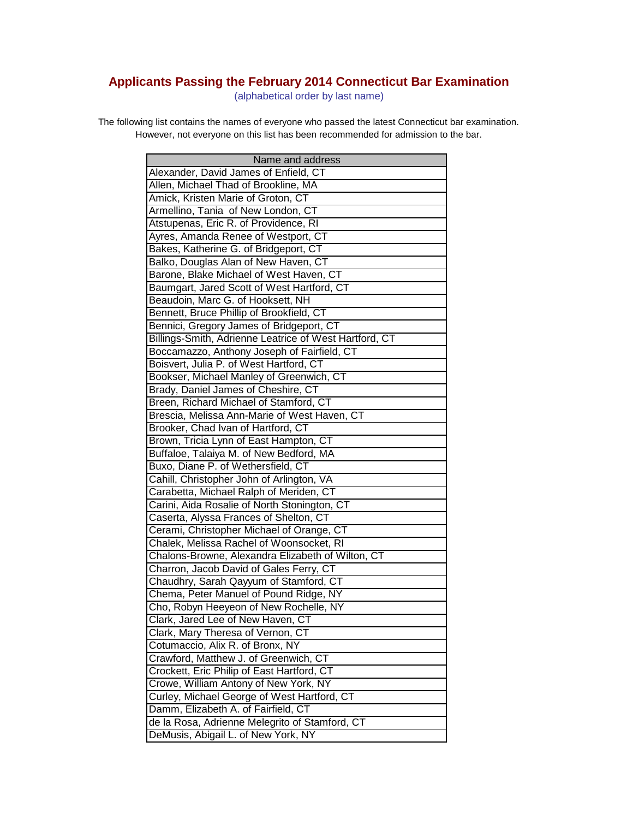## **Applicants Passing the February 2014 Connecticut Bar Examination**

(alphabetical order by last name)

The following list contains the names of everyone who passed the latest Connecticut bar examination. However, not everyone on this list has been recommended for admission to the bar.

| Name and address                                       |
|--------------------------------------------------------|
| Alexander, David James of Enfield, CT                  |
| Allen, Michael Thad of Brookline, MA                   |
| Amick, Kristen Marie of Groton, CT                     |
| Armellino, Tania of New London, CT                     |
| Atstupenas, Eric R. of Providence, RI                  |
| Ayres, Amanda Renee of Westport, CT                    |
| Bakes, Katherine G. of Bridgeport, CT                  |
| Balko, Douglas Alan of New Haven, CT                   |
| Barone, Blake Michael of West Haven, CT                |
| Baumgart, Jared Scott of West Hartford, CT             |
| Beaudoin, Marc G. of Hooksett, NH                      |
| Bennett, Bruce Phillip of Brookfield, CT               |
| Bennici, Gregory James of Bridgeport, CT               |
| Billings-Smith, Adrienne Leatrice of West Hartford, CT |
| Boccamazzo, Anthony Joseph of Fairfield, CT            |
| Boisvert, Julia P. of West Hartford, CT                |
| Bookser, Michael Manley of Greenwich, CT               |
| Brady, Daniel James of Cheshire, CT                    |
| Breen, Richard Michael of Stamford, CT                 |
| Brescia, Melissa Ann-Marie of West Haven, CT           |
| Brooker, Chad Ivan of Hartford, CT                     |
| Brown, Tricia Lynn of East Hampton, CT                 |
| Buffaloe, Talaiya M. of New Bedford, MA                |
| Buxo, Diane P. of Wethersfield, CT                     |
| Cahill, Christopher John of Arlington, VA              |
| Carabetta, Michael Ralph of Meriden, CT                |
| Carini, Aida Rosalie of North Stonington, CT           |
| Caserta, Alyssa Frances of Shelton, CT                 |
| Cerami, Christopher Michael of Orange, CT              |
| Chalek, Melissa Rachel of Woonsocket, RI               |
| Chalons-Browne, Alexandra Elizabeth of Wilton, CT      |
| Charron, Jacob David of Gales Ferry, CT                |
| Chaudhry, Sarah Qayyum of Stamford, CT                 |
| Chema, Peter Manuel of Pound Ridge, NY                 |
| Cho, Robyn Heeyeon of New Rochelle, NY                 |
| Clark, Jared Lee of New Haven, CT                      |
| Clark, Mary Theresa of Vernon, CT                      |
| Cotumaccio, Alix R. of Bronx, NY                       |
| Crawford, Matthew J. of Greenwich, CT                  |
| Crockett, Eric Philip of East Hartford, CT             |
| Crowe, William Antony of New York, NY                  |
| Curley, Michael George of West Hartford, CT            |
| Damm, Elizabeth A. of Fairfield, CT                    |
| de la Rosa, Adrienne Melegrito of Stamford, CT         |
| DeMusis, Abigail L. of New York, NY                    |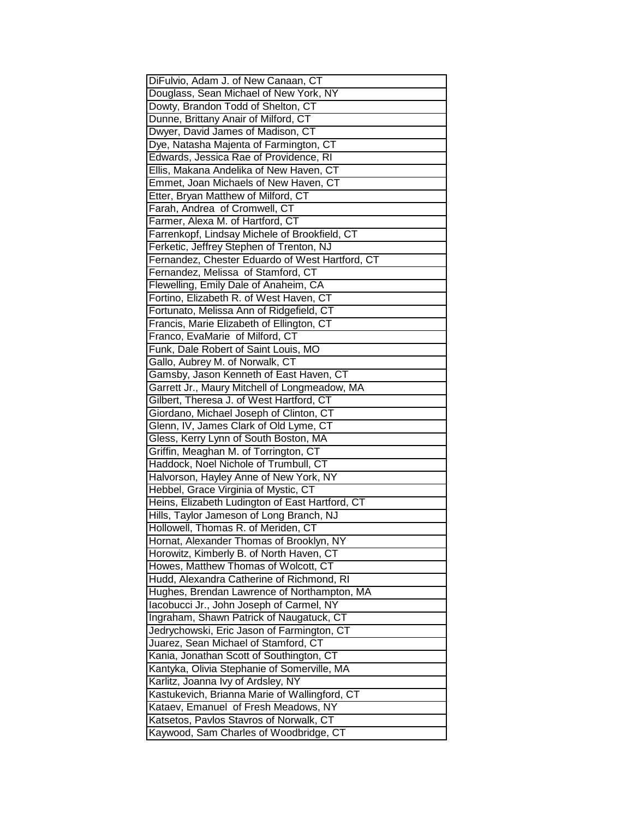| DiFulvio, Adam J. of New Canaan, CT             |
|-------------------------------------------------|
| Douglass, Sean Michael of New York, NY          |
| Dowty, Brandon Todd of Shelton, CT              |
| Dunne, Brittany Anair of Milford, CT            |
| Dwyer, David James of Madison, CT               |
| Dye, Natasha Majenta of Farmington, CT          |
| Edwards, Jessica Rae of Providence, RI          |
| Ellis, Makana Andelika of New Haven, CT         |
| Emmet, Joan Michaels of New Haven, CT           |
| Etter, Bryan Matthew of Milford, CT             |
| Farah, Andrea of Cromwell, CT                   |
| Farmer, Alexa M. of Hartford, CT                |
| Farrenkopf, Lindsay Michele of Brookfield, CT   |
| Ferketic, Jeffrey Stephen of Trenton, NJ        |
| Fernandez, Chester Eduardo of West Hartford, CT |
| Fernandez, Melissa of Stamford, CT              |
| Flewelling, Emily Dale of Anaheim, CA           |
| Fortino, Elizabeth R. of West Haven, CT         |
| Fortunato, Melissa Ann of Ridgefield, CT        |
| Francis, Marie Elizabeth of Ellington, CT       |
| Franco, EvaMarie of Milford, CT                 |
| Funk, Dale Robert of Saint Louis, MO            |
| Gallo, Aubrey M. of Norwalk, CT                 |
| Gamsby, Jason Kenneth of East Haven, CT         |
| Garrett Jr., Maury Mitchell of Longmeadow, MA   |
| Gilbert, Theresa J. of West Hartford, CT        |
| Giordano, Michael Joseph of Clinton, CT         |
| Glenn, IV, James Clark of Old Lyme, CT          |
| Gless, Kerry Lynn of South Boston, MA           |
| Griffin, Meaghan M. of Torrington, CT           |
| Haddock, Noel Nichole of Trumbull, CT           |
| Halvorson, Hayley Anne of New York, NY          |
| Hebbel, Grace Virginia of Mystic, CT            |
| Heins, Elizabeth Ludington of East Hartford, CT |
| Hills, Taylor Jameson of Long Branch, NJ        |
| Hollowell, Thomas R. of Meriden, CT             |
| Hornat, Alexander Thomas of Brooklyn, NY        |
| Horowitz, Kimberly B. of North Haven, CT        |
| Howes, Matthew Thomas of Wolcott, CT            |
| Hudd, Alexandra Catherine of Richmond, RI       |
| Hughes, Brendan Lawrence of Northampton, MA     |
| lacobucci Jr., John Joseph of Carmel, NY        |
|                                                 |
| Ingraham, Shawn Patrick of Naugatuck, CT        |
| Jedrychowski, Eric Jason of Farmington, CT      |
| Juarez, Sean Michael of Stamford, CT            |
| Kania, Jonathan Scott of Southington, CT        |
| Kantyka, Olivia Stephanie of Somerville, MA     |
| Karlitz, Joanna Ivy of Ardsley, NY              |
| Kastukevich, Brianna Marie of Wallingford, CT   |
| Kataev, Emanuel of Fresh Meadows, NY            |
| Katsetos, Pavlos Stavros of Norwalk, CT         |
| Kaywood, Sam Charles of Woodbridge, CT          |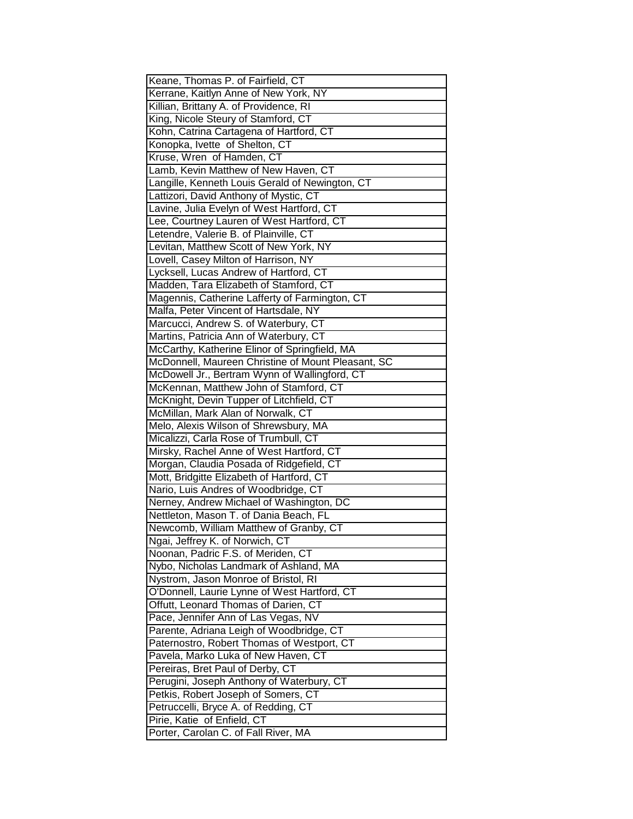| Keane, Thomas P. of Fairfield, CT                  |
|----------------------------------------------------|
| Kerrane, Kaitlyn Anne of New York, NY              |
| Killian, Brittany A. of Providence, RI             |
| King, Nicole Steury of Stamford, CT                |
| Kohn, Catrina Cartagena of Hartford, CT            |
| Konopka, Ivette of Shelton, CT                     |
| Kruse, Wren of Hamden, CT                          |
| Lamb, Kevin Matthew of New Haven, CT               |
| Langille, Kenneth Louis Gerald of Newington, CT    |
| Lattizori, David Anthony of Mystic, CT             |
| Lavine, Julia Evelyn of West Hartford, CT          |
| Lee, Courtney Lauren of West Hartford, CT          |
| Letendre, Valerie B. of Plainville, CT             |
| Levitan, Matthew Scott of New York, NY             |
| Lovell, Casey Milton of Harrison, NY               |
| Lycksell, Lucas Andrew of Hartford, CT             |
| Madden, Tara Elizabeth of Stamford, CT             |
| Magennis, Catherine Lafferty of Farmington, CT     |
| Malfa, Peter Vincent of Hartsdale, NY              |
| Marcucci, Andrew S. of Waterbury, CT               |
| Martins, Patricia Ann of Waterbury, CT             |
| McCarthy, Katherine Elinor of Springfield, MA      |
| McDonnell, Maureen Christine of Mount Pleasant, SC |
| McDowell Jr., Bertram Wynn of Wallingford, CT      |
| McKennan, Matthew John of Stamford, CT             |
| McKnight, Devin Tupper of Litchfield, CT           |
| McMillan, Mark Alan of Norwalk, CT                 |
| Melo, Alexis Wilson of Shrewsbury, MA              |
| Micalizzi, Carla Rose of Trumbull, CT              |
| Mirsky, Rachel Anne of West Hartford, CT           |
| Morgan, Claudia Posada of Ridgefield, CT           |
| Mott, Bridgitte Elizabeth of Hartford, CT          |
| Nario, Luis Andres of Woodbridge, CT               |
| Nerney, Andrew Michael of Washington, DC           |
| Nettleton, Mason T. of Dania Beach, FL             |
| Newcomb, William Matthew of Granby, CT             |
| Ngai, Jeffrey K. of Norwich, CT                    |
| Noonan, Padric F.S. of Meriden, CT                 |
| Nybo, Nicholas Landmark of Ashland, MA             |
| Nystrom, Jason Monroe of Bristol, RI               |
| O'Donnell, Laurie Lynne of West Hartford, CT       |
| Offutt, Leonard Thomas of Darien, CT               |
| Pace, Jennifer Ann of Las Vegas, NV                |
| Parente, Adriana Leigh of Woodbridge, CT           |
| Paternostro, Robert Thomas of Westport, CT         |
| Pavela, Marko Luka of New Haven, CT                |
| Pereiras, Bret Paul of Derby, CT                   |
| Perugini, Joseph Anthony of Waterbury, CT          |
| Petkis, Robert Joseph of Somers, CT                |
| Petruccelli, Bryce A. of Redding, CT               |
| Pirie, Katie of Enfield, CT                        |
| Porter, Carolan C. of Fall River, MA               |
|                                                    |